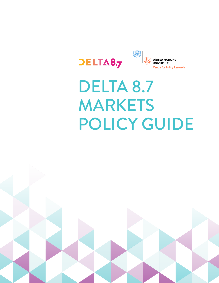



# DELTA 8.7 MARKETS POLICY GUIDE

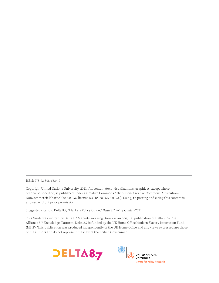ISBN: 978-92-808-6534-9

Copyright United Nations University, 2021. All content (text, visualizations, graphics), except where otherwise specified, is published under a Creative Commons Attribution- Creative Commons Attribution-NonCommercialShareAlike 3.0 IGO license (CC BY-NC-SA 3.0 IGO). Using, re-posting and citing this content is allowed without prior permission.

Suggested citation: Delta 8.7, "Markets Policy Guide," *Delta 8.7 Policy Guides* (2021)

This Guide was written by Delta 8.7 Markets Working Group as an original publication of Delta 8.7 – The Alliance 8.7 Knowledge Platform. Delta 8.7 is funded by the UK Home Office Modern Slavery Innovation Fund (MSIF). This publication was produced independently of the UK Home Office and any views expressed are those of the authors and do not represent the view of the British Government.



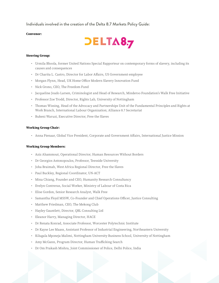Individuals involved in the creation of the Delta 8.7 Markets Policy Guide:

#### **Convenor:**



#### **Steering Group:**

- Urmila Bhoola, former United Nations Special Rapporteur on contemporary forms of slavery, including its causes and consequences
- Dr Charita L. Castro, Director for Labor Affairs, US Government employee
- Morgan Flynn, Head, UK Home Office Modern Slavery Innovation Fund
- Nick Grono, CEO, The Freedom Fund
- Jacqueline Joudo Larsen, Criminologist and Head of Research, Minderoo Foundation's Walk Free Initiative
- Professor Zoe Trodd, Director, Rights Lab, University of Nottingham
- Thomas Wissing, Head of the Advocacy and Partnerships Unit of the Fundamental Principles and Rights at Work Branch, International Labour Organization; Alliance 8.7 Secretariat
- Bukeni Waruzi, Executive Director, Free the Slaves

#### **Working Group Chair:**

• Anna Pienaar, Global Vice President, Corporate and Government Affairs, International Justice Mission

#### **Working Group Members:**

- Aziz Ahammout, Operational Director, Human Resources Without Borders
- Dr Georgios Antonopoulos, Professor, Teesside University
- Joha Braimah, West Africa Regional Director, Free the Slaves
- Paul Buckley, Regional Coordinator, UN-ACT
- Mina Chiang, Founder and CEO, Humanity Research Consultancy
- Evelyn Contreras, Social Worker, Ministry of Labour of Costa Rica
- Elise Gordon, Senior Research Analyst, Walk Free
- Samantha Floyd MSSW, Co-Founder and Chief Operations Officer, Justice Consulting
- Matthew Friedman, CEO, The Mekong Club
- Hayley Gauntlett, Director, QBL Consulting Ltd
- Eleanor Harry, Managing Director, HACE
- Dr Renata Konrad, Associate Professor, Worcester Polytechnic Institute
- Dr Kayse Lee Maass, Assistant Professor of Industrial Engineering, Northeastern University
- Kilugala Mponeja Malimi, Nottingham University Business School, University of Nottingham
- Amy McGann, Program Director, Human Trafficking Search
- Dr Om Prakash Mishra, Joint Commissioner of Police, Delhi Police, India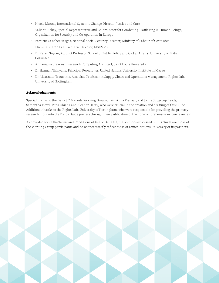- Nicole Munns, International Systemic Change Director, Justice and Care
- Valiant Richey, Special Representative and Co-ordinator for Combating Trafficking in Human Beings, Organization for Security and Co-operation in Europe
- Esmirna Sánchez Vargas, National Social Security Director, Ministry of Labour of Costa Rica
- Bhanjua Sharan Lal, Executive Director, MSEMVS
- Dr Karen Snyder, Adjunct Professor, School of Public Policy and Global Affairs, University of British Columbia
- Annamaria Szakonyi, Research Computing Architect, Saint Louis University
- Dr Hannah Thinyane, Principal Researcher, United Nations University Institute in Macau
- Dr Alexander Trautrims, Associate Professor in Supply Chain and Operations Management, Rights Lab, University of Nottingham

#### **Acknowledgements**

Special thanks to the Delta 8.7 Markets Working Group Chair, Anna Pienaar, and to the Subgroup Leads, Samantha Floyd, Mina Chiang and Eleanor Harry, who were crucial in the creation and drafting of this Guide. Additional thanks to the Rights Lab, University of Nottingham, who were responsible for providing the primary research input into the Policy Guide process through their publication of the non-comprehensive evidence review.

As provided for in the Terms and Conditions of Use of Delta 8.7, the opinions expressed in this Guide are those of the Working Group participants and do not necessarily reflect those of United Nations University or its partners.

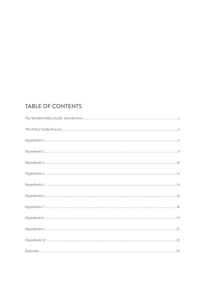### **TABLE OF CONTENTS**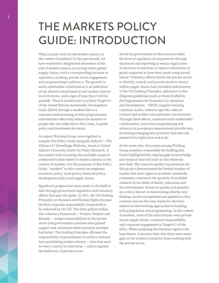## <span id="page-5-0"></span>THE MARKETS POLICY GUIDE: INTRODUCTION

What *actually works* to end modern slavery in the context of markets? In the past decade, we have witnessed a heightened awareness of the risk of modern slavery occurring within global supply chains, with a corresponding increase in regulation, funding, private sector engagement and programming to address it. The growth in multi-stakeholder collaboration is an indication of our shared commitment to end modern slavery in all its forms, and a sign of hope that it will be possible. What is needed now to achieve Target 8.7 of the United Nations Sustainable Development Goals (SDGs) through a markets lens is a common understanding of what programmatic interventions effectively reduce the number of people who are subjected to this crime, to guide policy and investment decisions.

An expert Working Group came together to compile this Policy Guide alongside Delta 8.7 – The Alliance 8.7 Knowledge Platform, based at United Nations University Centre for Policy Research. It was tasked with reviewing the available research conducted to date related to modern slavery in the context of markets. For the purposes of this Policy Guide, "markets" in this context encompasses economic policy, trade policy, financial policy, development policy and supply chains.

Significant progress has been made in this field to date through government regulation and voluntary efforts that span the globe. In 2011, the UN Guiding Principles on Business and Human Rights became the first corporate responsibility framework to be endorsed by the UN. The three pillars within this voluntary framework — Protect, Respect and Remedy — assign responsibilities to the private sector and governments and have thus gained support and consensus where previous attempts had failed. The Guiding Principles affirmed the responsibility of governments to enforce national laws prohibiting modern slavery — laws that exist in every country in some form — and to regulate the behaviour of private actors.

Action by governments in this area has taken the form of regulation of corporations through disclosure and reporting as well as legal action in the form of sanctions or import restrictions of goods suspected to have been made using forced labour. Voluntary efforts within the private sector to identify, remedy and prevent modern slavery within supply chains have included endorsement of the UN Guiding Principles, adherence to due diligence guidelines (such as those drafted by the Organisation for Economic Co-operation and Development – OECD), supplier training, voluntary audits, industry-specific codes of conduct and worker voice grievance mechanisms. Through these efforts, extensive multi-stakeholder collaboration, innovative programming and advances in prevalence measurement provide very promising emerging best practices that have the potential for replication and scale.

At the same time, discussion among Working Group members responsible for drafting this Guide highlighted the ongoing gaps in knowledge and research that still exist in this relatively new field. The research quality requirements for this project demonstrated the limited number of studies that meet rigorous academic standards, a dramatic contrast to the quantity of available research in the fields of health, education and the environment. Research quality and quantity are critical factors in determining whether key findings can be extrapolated and applied to other contexts and are thus key inputs for decisionmakers in determining approaches to funding, policy/legislation and programming. In the context of markets, most of the main focuses were private sector supply chains, corporate responsibility and corporate engagement in Target 8.7 of the SDGs. When analysing the literature against the hypotheses, it became clear that there were major gaps in the evidence found by those working with the private sector.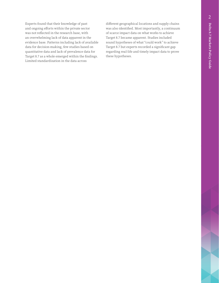Experts found that their knowledge of past and ongoing efforts within the private sector was not reflected in the research base, with an overwhelming lack of data apparent in the evidence base. Patterns including lack of available data for decision-making, few studies based on quantitative data and lack of prevalence data for Target 8.7 as a whole emerged within the findings. Limited standardization in the data across

different geographical locations and supply chains was also identified. Most importantly, a continuum of scarce impact data on what works to achieve Target 8.7 became apparent. Studies included sound hypotheses of what "could work" to achieve Target 8.7 but experts recorded a significant gap regarding real-life and timely impact data to prove these hypotheses.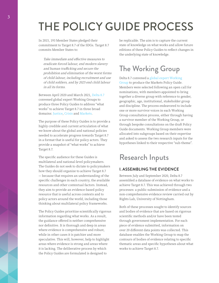## <span id="page-7-0"></span>THE POLICY GUIDE PROCESS

In 2015, 193 Member States pledged their commitment to Target 8.7 of the SDGs. Target 8.7 commits Member States to:

Take immediate and effective measures to eradicate forced labour, end modern slavery and human trafficking and secure the prohibition and elimination of the worst forms of child labour, including recruitment and use of child soldiers, and by 2025 end child labour in all its forms.

Between April 2020 and March 2021, [Delta 8.7](https://delta87.org/) convened global expert Working Groups to produce three Policy Guides to address "what works" to achieve Target 8.7 in three broad domains: [Justice](https://delta87.org/resources/policy-guides/policy-guide-working-groups/justice/), [Crisis](https://delta87.org/resources/policy-guides/policy-guide-working-groups/crisis-working-group/) and [Markets](https://delta87.org/resources/policy-guides/policy-guide-working-groups/markets/).

The purpose of these Policy Guides is to provide a highly credible and current articulation of what we know about the global and national policies needed to accelerate progress towards Target 8.7 in a format that is useful for policy actors. They provide a snapshot of "what works" to achieve Target 8.7.

The specific audience for these Guides is multilateral and national-level policymakers. The Guides do not seek to dictate to policymakers how they should organize to achieve Target 8.7 — because that requires an understanding of the specific challenges in each country, the available resources and other contextual factors. Instead, they aim to provide an evidence-based policy resource that is useful across contexts and to policy actors around the world, including those thinking about multilateral policy frameworks.

The Policy Guides prioritize scientifically rigorous information regarding what works. As a result, the guidance offered is neither comprehensive nor definitive. It is thorough and deep in areas where evidence is comprehensive and robust, while in other cases it is patchier and more speculative. This will, however, help to highlight areas where evidence is strong and areas where it is lacking. The deliberative process by which the Policy Guides are formulated is designed to

be replicable. The aim is to capture the current state of knowledge on what works and allow future editions of these Policy Guides to reflect changes in the underlying state of knowledge.

### The Working Group

Delta 8.7 convened a [global expert Working](https://delta87.org/resources/policy-guides/policy-guide-working-groups/justice/)  [Group](https://delta87.org/resources/policy-guides/policy-guide-working-groups/justice/) to produce the Markets Policy Guide. Members were selected following an open call for nominations, with members appointed to bring together a diverse group with reference to gender, geographic, age, institutional, stakeholder group and discipline. The process endeavored to include one or more survivor voices in each Working Group consultation process, either through having a survivor member of the Working Group, or through bespoke consultations on the draft Policy Guide documents. Working Group members were allocated into subgroups based on their expertise and asked to assess the two research inputs for the hypotheses linked to their respective "sub-theme".

### Research Inputs

#### I. ASSEMBLING THE EVIDENCE

Between July and September 2020, Delta 8.7 assembled a database of evidence on what works to achieve Target 8.7. This was achieved through two processes: a public submission of evidence and a non-comprehensive evidence review carried out by Rights Lab, University of Nottingham.

Both of these processes sought to identify sources and bodies of evidence that are based on rigorous scientific methods and/or have been tested through government implementation. For each piece of evidence submitted, information on over 20 different data points was collected. This database enables the Working Group to map the contours of bodies of evidence relating to specific thematic areas and specific hypotheses about what works to achieve Target 8.7.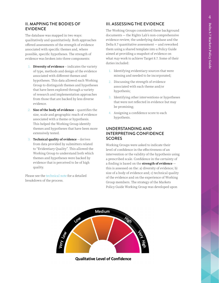#### II. MAPPING THE BODIES OF EVIDENCE

The database was mapped in two ways: qualitatively and quantitatively. Both approaches offered assessments of the strength of evidence associated with specific themes and, where possible, specific hypotheses. The strength of evidence was broken into three components:

- 1. **Diversity of evidence** indicates the variety of type, methods and design of the evidence associated with different themes and hypotheses. This data allowed each Working Group to distinguish themes and hypotheses that have been explored through a variety of research and implementation approaches from those that are backed by less diverse evidence.
- 2. **Size of the body of evidence** quantifies the size, scale and geographic reach of evidence associated with a theme or hypothesis. This helped the Working Group identify themes and hypotheses that have been more extensively tested.
- 3. **Technical quality of evidence** derives from data provided by submitters related to "Evidentiary Quality". This allowed the Working Group to understand both which themes and hypotheses were backed by evidence that is perceived to be of high quality.

Please see the [technical note](https://delta87.org/wp-content/uploads/2020/07/Policy-Guide-Technical-Note-Submission-and-Evaluation-of-Evidence-1.pdf) for a detailed breakdown of the process.

#### III. ASSESSING THE EVIDENCE

The Working Groups considered these background documents — the Rights Lab's non-comprehensive evidence review, the underlying database and the Delta 8.7 quantitative assessment — and reworked them using a shared template into a Policy Guide aimed at providing a snapshot of evidence on what *may* work to achieve Target 8.7. Some of their duties included:

- 1. Identifying evidentiary sources that were missing and needed to be incorporated;
- 2. Discussing the strength of evidence associated with each theme and/or hypothesis;
- 3. Identifying other interventions or hypotheses that were not reflected in evidence but may be promising;
- 4. Assigning a confidence score to each hypothesis.

#### UNDERSTANDING AND INTERPRETING CONFIDENCE **SCORES**

Working Groups were asked to indicate their level of confidence in the effectiveness of an intervention or the validity of the hypothesis using a prescribed scale. Confidence in the certainty of a finding is based on the **strength of evidence** this is assessed on the: a) diversity of evidence; b) size of a body of evidence and; c) technical quality of the evidence and on the experience of Working Group members. The strategy of the Markets Policy Guide Working Group was developed upon



**Qualitative Level of Confidence**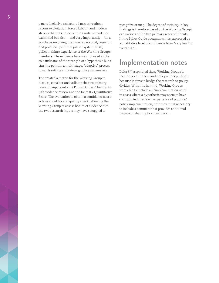a more inclusive and shared narrative about labour exploitation, forced labour, and modern slavery that was based on the available evidence examined but also — and very importantly — on a synthesis involving the diverse personal, research and practical (criminal justice system, NGO, policymaking) experience of the Working Group's members. The evidence base was not used as the sole indicator of the strength of a hypothesis but a starting point in a multi-stage, "adaptive" process towards setting and refining policy parameters.

The created a metric for the Working Group to discuss, consider and validate the two primary research inputs into the Policy Guides: The Rights Lab evidence review and the Delta 8.7 Quantitative Score. The evaluation to obtain a confidence score acts as an additional quality check, allowing the Working Group to assess bodies of evidence that the two research inputs may have struggled to

recognize or map. The degree of *certainty* in key findings is therefore based on the Working Group's evaluations of the two primary research inputs. In the Policy Guide documents, it is expressed as a qualitative level of confidence from "very low" to "very high".

### Implementation notes

Delta 8.7 assembled these Working Groups to include practitioners and policy actors precisely because it aims to bridge the research-to-policy divides. With this in mind, Working Groups were able to include an "implementation note" in cases where a hypothesis may seem to have contradicted their own experience of practice/ policy implementation, or if they felt it necessary to include a comment that provides additional nuance or shading to a conclusion.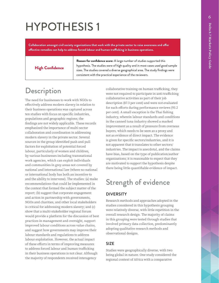<span id="page-10-0"></span>**Collaboration amongst civil society organizations that work with the private sector to raise awareness and offer effective remedies can help to address forced labour and human trafficking in business operations.** 

#### High Confidence

**Reason for confidence score:** A large number of studies supported this hypothesis. The studies were of high quality and in most cases used good sample sizes. The studies covered a diverse geographical area. The study findings were consistent with the practical experience of the reviewers.

### **Description**

The need for businesses to work with NGOs to effectively address modern slavery in relation to their business operations was captured across ten studies with focus on specific industries, populations and geographic regions; the findings are not widely applicable. These records emphasized the importance of multi-sector collaboration and coordination in addressing modern slavery in the private sector. Several sources in the group identified push and pull factors for exploitation of potential forced labour, particularly of women and children, by various businesses including transnational work agencies, which can exploit individuals and communities in grey areas not covered by national and international law (where no national or international body has both an incentive to and the ability to intervene). The studies: (a) make recommendations that could be implemented in the context that formed the subject matter of the report; (b) suggest that corporate engagement and action in partnership with governments, NGOs and charities, and other local stakeholders is critical for addressing modern slavery; and (c) show that a multi-stakeholder regional forum would provide a platform for the discussion of best practices in management and oversight, support improved labour conditions across value chains, and suggest how governments may improve their labour standards and regulations to address labour exploitation. However, the actual impact of these efforts in terms of improving measures to address forced labour and human trafficking in their business operations is not clear. Although the majority of respondents received interagency

collaborative training on human trafficking, they were not required to participate in anti-trafficking collaborative activities as part of their job description (87.3 per cent) and were not evaluated for such efforts during performance reviews (93.2 per cent). A small exception is the Thai fishing industry, wherein labour standards and conditions in the canned tuna industry showed a marked improvement as a result of pressure from overseas buyers, which needs to be seen as a proxy and not as evidence of direct impact. The evidence is given for specific sectors/industries, and it is not apparent that it translates to other sectors/ industries. The impact is anecdotal, and the claims have bias, based on the type of publication/author organizations; it is reasonable to expect that they are motivated to support the hypothesis despite there being little quantifiable evidence of impact.

### Strength of evidence

#### DIVERSITY

Research methods and approaches adopted in the studies considered in this hypothesis grouping were relatively diverse, with little repetition in the overall research design. The majority of claims in this grouping were tested through studies that involved primary data collection, predominantly adopting qualitative research methods and observational designs.

#### SIZE

Studies were geographically diverse, with two being global in nature. One study considered the regional context of Africa with a comparative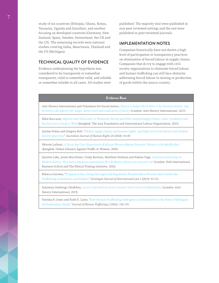study of six countries (Ethiopia, Ghana, Kenya, Tanzania, Uganda and Zanzibar), and another focusing on developed countries (Germany, New Zealand, Spain, Sweden, Switzerland, the UK and the US). The remaining records were national studies covering India, Mauritania, Thailand and the US (Michigan).

#### TECHNICAL QUALITY OF EVIDENCE

Evidence underpinning the hypothesis was considered to be transparent or somewhat transparent, valid or somewhat valid, and reliable or somewhat reliable in all cases. All studies were

published. The majority (six) were published in non-peer reviewed settings and the rest were published in peer-reviewed journals.

#### IMPLEMENTATION NOTES

Companies historically have not shown a high level of participation in transparency practices on elimination of forced labour in supply chains. Companies that do try to engage with civil society organizations to eliminate forced labour and human trafficking can still face obstacles addressing forced labour in mining or production of goods within the source country.

#### **Evidence Base**

Anti-Slavery International and Volunteers for Social Justice, *[Slavery in India's Brick Kilns & the Payment System: way](https://www.antislavery.org/wp-content/uploads/2017/09/Slavery-In-Indias-Brick-Kilns-The-Payment-System.pdf)  [forward in the fight for fair wages, decent work and eradication of slavery](https://www.antislavery.org/wp-content/uploads/2017/09/Slavery-In-Indias-Brick-Kilns-The-Payment-System.pdf)* (London: Anti-Slavery International, 2017).

Ellen Boccuzzi, *[Migrant and Child Labor in Thailand's Shrimp and Other Seafood Supply Chains: Labor Conditions and](https://asiafoundation.org/resources/pdfs/MigrantChildLaborinThailandsShrimpandOtherSeafoodSupplyChains.pdf)  [the Decision to Study or Work](https://asiafoundation.org/resources/pdfs/MigrantChildLaborinThailandsShrimpandOtherSeafoodSupplyChains.pdf)* (Bangkok: The Asia Foundation and International Labour Organization, 2015).

Justine Nolan and Gregory Bott, ["Global supply chains and human rights: spotlight on forced labour and modern](https://www.tandfonline.com/doi/abs/10.1080/1323238X.2018.1441610)  [slavery practices,](https://www.tandfonline.com/doi/abs/10.1080/1323238X.2018.1441610)" *Australian Journal of Human Rights* 24 (2018): 44-69.

Nkirote Laiboni, *[A Job at Any Cost: Experiences of African Women Migrant Domestic Workers in the Middle East](https://gaatw.org/publications/Africa_Domestic_Work_Consolidated_regional_report.pdf)* (Bangkok: Global Alliance Against Traffic in Women, 2020).

Quintin Lake, Jamie MacAlister, Cindy Berman, Matthew Gitsham and Nadine Page, *[Corporate Leadership on](https://moam.info/corporate-leadership-on-modern-slavery-ashridge-executive-_5a050e9a1723dd6b0275967e.html)  [Modern Slavery: How have companies responded to the UK Modern Slavery Act one year on?](https://moam.info/corporate-leadership-on-modern-slavery-ashridge-executive-_5a050e9a1723dd6b0275967e.html)* (London: Hult International Business School and The Ethical Trading Initiative, 2016).

Rebecca Surtees, "[Trapped at Sea: Using the Legal and Regulatory Framework to Prevent and Combat the](https://nexushumantrafficking.files.wordpress.com/2017/01/surtees-2013-trapped-at-sea.pdf)  [Trafficking of Seafarers and Fishers,"](https://nexushumantrafficking.files.wordpress.com/2017/01/surtees-2013-trapped-at-sea.pdf) *Groningen Journal of International Law* 1 (2013): 91-151.

Salamata Ouédrago Cheikhou, *[Lessons learned from socio-economic interventions in Mauritania](https://www.antislavery.org/wp-content/uploads/2019/09/Socio-economic-report-Mauritania-english.pdf)* (London: Anti-Slavery International, 2019).

Tonisha R. Jones and Faith E. Lutze, ["Anti-Human Trafficking Interagency Collaboration in the State of Michigan:](https://www.tandfonline.com/doi/abs/10.1080/23322705.2015.1075342)  [An Exploratory Study,"](https://www.tandfonline.com/doi/abs/10.1080/23322705.2015.1075342) *Journal of Human Trafficking* 2 (2016): 156-174.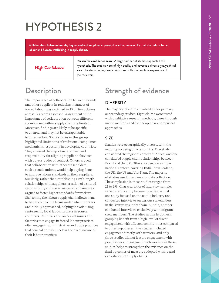<span id="page-12-0"></span>**Collaboration between brands, buyers and and suppliers improves the effectiveness of efforts to reduce forced labour and human trafficking in supply chains.**

High Confidence

**Reason for confidence score:** A large number of studies supported this hypothesis. The studies were of high quality and covered a diverse geographical area. The study findings were consistent with the practical experience of the reviewers.

### **Description**

The importance of collaboration between brands and other suppliers in reducing instances of forced labour was captured in 15 distinct claims across 12 records assessed. Assessment of the importance of collaboration between different stakeholders within supply chains is limited. Moreover, findings are likely to be specific to an area, and may not be extrapolatable to other sectors. Some studies in this group highlighted limitations of traditional compliance mechanisms, especially in developing countries. They stressed the importance of trust and responsibility for aligning supplier behaviour with buyers' codes of conduct. Others argued that collaboration with other stakeholders, such as trade unions, would help buying firms to improve labour standards in their suppliers. Similarly, rather than establishing arm's length relationships with suppliers, creation of a shared responsibility culture across supply chains was argued to foster higher standards for workers. Shortening the labour supply chain allows firms to better control the terms under which workers are initially approached, helping to avoid using rent-seeking local labour brokers in source countries. Countries and owners of mines and factories that engage in forced labour practices often engage in administrative and trade practices that conceal or make unclear the exact nature of their labour practices.

## Strength of evidence

#### DIVERSITY

The majority of claims involved either primary or secondary studies. Eight claims were tested with qualitative research methods, three through mixed methods and four adopted non-empirical approaches.

#### SIZE

Studies were geographically diverse, with the majority focusing on one country. One study considered the regional context of Africa, and one considered supply chain relationships between Brazil and the UK. Others focused on a single national context, covering India, New Zealand, the UK, the US and Viet Nam. The majority of studies used interviews for data collection. The sample size in these studies ranged from 21 to 293. Characteristics of interview samples varied significantly between studies. Whilst one study focused on the textile industry and conducted interviews on various stakeholders in the knitwear supply chain in India, another conducted interviews exclusively with migrant crew members. The studies in this hypothesis grouping benefit from a high level of direct engagement with affected communities compared to other hypotheses. Five studies included engagement directly with workers, and only three studies did not feature engagement with practitioners. Engagement with workers in these studies helps to strengthen the evidence on the final outcomes of measures adopted with regard exploitation in supply chains.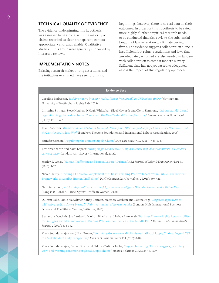#### TECHNICAL QUALITY OF EVIDENCE

The evidence underpinning this hypothesis was assessed to be strong, with the majority of claims recorded as clear, transparent, contextappropriate, valid, and reliable. Qualitative studies in this group were generally supported by literature reviews.

#### IMPLEMENTATION NOTES

Existing research makes strong assertions, and the initiatives examined have seen promising

beginnings; however, there is no real data on their outcomes. In order for this hypothesis to be rated more highly, further empirical research needs to be conducted that also reviews the substantial breadth of law in relation to ultimate buying firms. The evidence suggests collaboration alone is insufficient, but robust regulations and laws that are adequately enforced are also needed in tandem with collaboration to combat modern slavery. Sufficient time has not yet passed to adequately assess the impact of this regulatory approach.

#### **Evidence Base**

Caroline Emberson, *[Tackling slavery in supply chains: lessons from Brazilian-UK beef and timber](https://corporate-responsibility.org/wp-content/uploads/2019/03/emberson-tackling-slavery-in-supply-chains-2.pdf)* (Nottingham: University of Nottingham Rights Lab, 2019)

Christina Stringer, Steve Hughes, D Hugh Whittaker, Nigel Haworth and Glenn Simmons, ["Labour standards and](https://www.antislaverycommissioner.co.uk/media/1254/time-to-deliver.pdf)  [regulation in global value chains: The case of the New Zealand Fishing Industry,](https://www.antislaverycommissioner.co.uk/media/1254/time-to-deliver.pdf)" *Environment and Planning* 48 (2016): 1910-1927.

Ellen Boccuzzi, *[Migrant and Child Labor in Thailand's Shrimp and Other Seafood Supply Chains: Labor Conditions and](https://asiafoundation.org/resources/pdfs/MigrantChildLaborinThailandsShrimpandOtherSeafoodSupplyChains.pdf)  [the Decision to Study or Work](https://asiafoundation.org/resources/pdfs/MigrantChildLaborinThailandsShrimpandOtherSeafoodSupplyChains.pdf)* (Bangkok: The Asia Foundation and International Labour Organization, 2015)

Jennifer Gordon, "[Regulating the Human Supply Chain,](https://papers.ssrn.com/sol3/papers.cfm?abstract_id=2914424)" *Iowa Law Review* 102 (2017): 445-504.

Liva Sreedharan and Aarti Kapoor, *[Sitting on pins and needles: A rapid assessment of labour conditions in Vietnam's](https://www.antislavery.org/wp-content/uploads/2019/04/Pins-and-Needles-Vietnam-supply-chains-report.pdf)  [garment sector](https://www.antislavery.org/wp-content/uploads/2019/04/Pins-and-Needles-Vietnam-supply-chains-report.pdf)* (London: Anti-Slavery International, 2018).

Marley S. Weiss, "[Human Trafficking and Forced Labor: A Primer,](https://www.jstor.org/stable/26410780?seq=1)" *ABA Journal of Labor & Employment Law* 31 (2015): 1-52.

Nicole Fleury, "[Offering a Carrot to Complement the Stick: Providing Positive Incentives in Public Procurement](https://www.americanbar.org/groups/public_contract_law/publications/public_contract_law_jrnl/48-2/human-trafficking/)  [Frameworks to Combat Human Trafficking,](https://www.americanbar.org/groups/public_contract_law/publications/public_contract_law_jrnl/48-2/human-trafficking/)" *Public Contract Law Journal* 48, 2 (2019): 397-421.

Nkirote Laiboni, *[A Job at Any Cost: Experiences of African Women Migrant Domestic Workers in the Middle East](https://gaatw.org/publications/Africa_Domestic_Work_Consolidated_regional_report.pdf)* (Bangkok: Global Alliance Against Traffic in Women, 2020)

Quintin Lake, Jamie MacAlister, Cindy Berman, Matthew Gitsham and Nadine Page, *[Corporate approaches to](https://docplayer.net/20767040-Corporate-approaches-to-addressing-modern-slavery-in-supply-chains.html)  [addressing modern slavery in supply chains: A snapshot of current practice](https://docplayer.net/20767040-Corporate-approaches-to-addressing-modern-slavery-in-supply-chains.html)* (London: Hult International Business School and The Ethical Trading Initiative, 2015).

Samantha Goethals, Joe Bardwell, Mariam Bhacker and Bahaa Ezzelarab, "[Business Human Rights Responsibility](https://econpapers.repec.org/article/cupbuhurj/v_3a2_3ay_3a2017_3ai_3a02_3ap_3a335-342_5f00.htm)  [for Refugees and Migrant Workers: Turning Policies into Practice in the Middle East,](https://econpapers.repec.org/article/cupbuhurj/v_3a2_3ay_3a2017_3ai_3a02_3ap_3a335-342_5f00.htm)" *Business and Human Rights Journal* 2 (2017): 335-342.

Vivek Soundararajan and Jill A. Brown, "[Voluntary Governance Mechanisms in Global Supply Chains: Beyond CSR](https://link.springer.com/article/10.1007/s10551-014-2418-y)  [to a Stakeholder Utility Perspective,](https://link.springer.com/article/10.1007/s10551-014-2418-y)" *Journal of Business Ethics* 134 (2016): 8-102.

Vivek Soundararajan, Zaheer Khan and Shlomo Yedidia Tarba, "[Beyond brokering: Sourcing agents, boundary](https://doi.org/10.1177/0018726716684200)  [work and working conditions in global supply chains,"](https://doi.org/10.1177/0018726716684200) *Human Relations* 71 (2018): 481-509.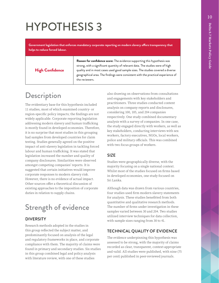<span id="page-14-0"></span>**Government legislation that enforces mandatory corporate reporting on modern slavery offers transparency that helps to reduce forced labour.**

High Confidence

**Reason for confidence score:** The evidence supporting this hypothesis was strong, with a significant quantity of relevant data. The studies were of high quality and in most cases used good sample sizes. The studies covered a diverse geographical area. The findings were consistent with the practical experience of the reviewers.

### **Description**

The evidentiary base for this hypothesis included 11 studies, most of which examined country- or region-specific policy impacts; the findings are not widely applicable. Corporate reporting legislation addressing modern slavery and human trafficking is mostly found in developed economies. Therefore, it is no surprise that most studies in this grouping had samples from developed countries for claim testing. Studies generally agreed on the positive impact of anti-slavery legislation in tackling forced labour and human trafficking. It was stated that legislation increased the number and quality of company disclosures. Similarities were observed amongst competing companies' reports. It is suggested that certain initiatives would improve corporate responses to modern slavery risk. However, there is no evidence of actual impact. Other sources offer a theoretical discussion of existing approaches to the imposition of corporate duties in relation to supply chains.

## Strength of evidence

#### DIVERSITY

Research methods adopted in the studies in this group reflected the subject matter, and predominantly focused on analysis of the legal and regulatory frameworks in place, and corporate compliance with them. The majority of claims were found in primary and secondary studies. Six studies in this group combined legal and policy analysis with literature review, with one of these studies

also drawing on observations from consultations and engagements with key stakeholders and practitioners. Three studies conducted content analysis on company reports and disclosures, considering 100, 105, and 204 companies respectively. One study combined documentary analysis with a survey of companies. In one case, the study engaged directly with workers, as well as key stakeholders, conducting interviews with sex workers, factory executives, NGOs, local workers, police and military officials. This was combined with two focus groups of workers.

#### SIZE

Studies were geographically diverse, with the majority focusing on a single national context. Whilst most of the studies focused on firms based in developed economies, one study focused on Sri Lanka.

Although data was drawn from various countries, four studies used firm modern slavery statements for analysis. These studies benefitted from both quantitative and qualitative research methods. The number of firms under investigation in these samples varied between 30 and 204. Two studies utilized interview techniques for data collection, with sample sizes ranging from 30 to 41.

#### TECHNICAL QUALITY OF EVIDENCE

The evidence underpinning this hypothesis was assessed to be strong, with the majority of claims recorded as clear, transparent, context-appropriate and valid. All studies were published, with nine (75 per cent) published in peer-reviewed journals.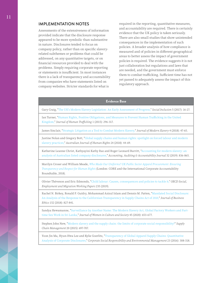#### IMPLEMENTATION NOTES

Assessments of the extensiveness of information provided indicate that the disclosure response appeared to be more symbolic than substantive in nature. Disclosures tended to focus on company policy, rather than on specific slaveryrelated subthemes or problems that could be addressed, on any quantitative targets, or on financial resources provided to deal with the problems. Simply requiring corporate reporting or statements is insufficient. In most instances there is a lack of transparency and accountability from companies who have statements listed on company websites. Stricter standards for what is

required in the reporting, quantitative measures, and accountability are required. There is certainly evidence that the UK policy is taken seriously. There are also small studies that show unintended consequences in the implementation of such policies. A broader analysis of how compliance is measured and of policies in different geographical areas to better assess the impact of government policies is required. The evidence suggests it is not just collaboration but regulations and laws that are needed, and the government must enforce them to combat trafficking. Sufficient time has not yet passed to adequately assess the impact of this regulatory approach.

#### **Evidence Base**

Gary Craig, "[The UK's Modern Slavery Legislation: An Early Assessment of Progress,](https://www.google.com/search?q=Gary+Craig%2C+%22The+UK%E2%80%99s+Modern+Slavery+Legislation%3A+An+Early+Assessment+of+Progress%2C%22+Social+Inclusion+5%3A+16-27+(2017).&oq=Gary+Craig%2C+%22The+UK%E2%80%99s+Modern+Slavery+Legislation%3A+An+Early+Assessment+of+Progress%2C%22+Social+Inclusion+5%3A+16-27+(2017).&aqs=chrome..69i57.276j0j4&sourceid=chrome&ie=UTF-8)" *Social Inclusion* 5 (2017): 16-27.

Ian Turner, "[Human Rights, Positive Obligations, and Measures to Prevent Human Trafficking in the United](https://www.tandfonline.com/doi/abs/10.1080/23322705.2015.1034612)  [Kingdom,](https://www.tandfonline.com/doi/abs/10.1080/23322705.2015.1034612)" *Journal of Human Trafficking* 1 (2015): 296-317.

James Sinclair, "[Strategic Litigation as a Tool to Combat Modern Slavery,"](https://slavefreetoday.org/journal_of_modern_slavery/v4i2a3_Strategic_Litigation_as_a_Tool_to_Combat_Modern_Slavery_sinclair.pdf) *Journal of Modern Slavery* 4 (2018): 47-65.

Justine Nolan and Gregory Bott, ["Global supply chains and human rights: spotlight on forced labour and modern](https://www.tandfonline.com/doi/abs/10.1080/1323238X.2018.1441610)  [slavery practices,"](https://www.tandfonline.com/doi/abs/10.1080/1323238X.2018.1441610) *Australian Journal of Human Rights* 24 (2018): 44-69.

Katherine Leanne Christ, Kathyayini Kathy Rao and Roger Leonard Burritt, "[Accounting for modern slavery: an](https://econpapers.repec.org/article/emeaaajpp/aaaj-11-2017-3242.htm)  [analysis of Australian listed company disclosures,](https://econpapers.repec.org/article/emeaaajpp/aaaj-11-2017-3242.htm)" *Accounting, Auditing & Accountability Journal* 32 (2019): 836-865.

Marilyn Croser and William Meade, *[Who Made Our Uniforms? UK Public Sector Apparel Procurement: Ensuring](https://www.readkong.com/page/who-made-our-uniforms-4067818)  [Transparency and Respect for Human Rights](https://www.readkong.com/page/who-made-our-uniforms-4067818)* (London: CORE and the International Corporate Accountability Roundtable, 2018).

Olivier Thévenon and Eric Edmonds, ["Child labour: Causes, consequences and policies to tackle it,](https://www.oecd-ilibrary.org/docserver/f6883e26-en.pdf?expires=1615484186&id=id&accname=guest&checksum=82C63DDCA3D7373CF4D9FFC2673766E0)" *OECD Social, Employment and Migration Working Papers* 235 (2019).

Rachel N. Birkey, Ronald P. Guidry, Mohammad Azizul Islam and Dennis M. Patten, "[Mandated Social Disclosure:](https://ideas.repec.org/a/kap/jbuset/v152y2018i3d10.1007_s10551-016-3364-7.html)  [An Analysis of the Response to the Californian Transparency in Supply Chains Act of 2010,"](https://ideas.repec.org/a/kap/jbuset/v152y2018i3d10.1007_s10551-016-3364-7.html) *Journal of Business Ethics* 152 (2018): 827-841.

Sandya Hewamanne, "[Surveillance by Another Name: The Modern Slavery Act, Global Factory Workers and Part](https://www.google.com/search?client=safari&rls=en&q=Sandya+Hewamanne,+%22Surveillance+by+Another+Name:+The+Modern+Slavery+Act,+Global+Factory+Workers+and+Part-time+Sex+Work+in+Sri+Lanka,%22+Journal+of+Women+in+Culture+and+Society+45:+653-677+(2020).&ie=UTF-8&oe=UTF-8)[time Sex Work in Sri Lanka,"](https://www.google.com/search?client=safari&rls=en&q=Sandya+Hewamanne,+%22Surveillance+by+Another+Name:+The+Modern+Slavery+Act,+Global+Factory+Workers+and+Part-time+Sex+Work+in+Sri+Lanka,%22+Journal+of+Women+in+Culture+and+Society+45:+653-677+(2020).&ie=UTF-8&oe=UTF-8) *Journal of Women in Culture and Society* 45 (2020): 653-677.

Stephen John New, "[Modern slavery and the supply chain: the limits of corporate social responsibility?"](https://discovered.ed.ac.uk/primo-explore/fulldisplay?docid=TN_cdi_proquest_journals_1748935092&context=PC&vid=44UOE_VU2&lang=en_US&search_scope=default_scope&adaptor=primo_central_multiple_fe&tab=default_tab&query=creator,exact,%20New,%20John) *Supply Chain Management* 20 (2015): 697-707.

Yoon Jin Ma, Hyun‐Hwa Lee and Kylie Goerlitz, "[Transparency of Global Apparel Supply Chains: Quantitative](https://onlinelibrary.wiley.com/doi/abs/10.1002/csr.1378)  [Analysis of Corporate Disclosures,"](https://onlinelibrary.wiley.com/doi/abs/10.1002/csr.1378) *Corporate Social Responsibility and Environmental Management* 23 (2016): 308-318.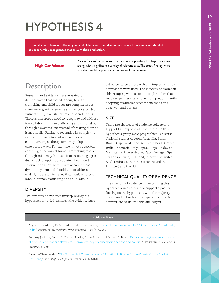<span id="page-16-0"></span>**If forced labour, human trafficking and child labour are treated as an issue in silo there can be unintended socioeconomic consequences that prevent their eradication.**

#### High Confidence

**Reason for confidence score:** The evidence supporting this hypothesis was strong, with a significant quantity of relevant data. The study findings were consistent with the practical experience of the reviewers.

### **Description**

Research and evidence have repeatedly demonstrated that forced labour, human trafficking and child labour are complex issues intertwining with elements such as poverty, debt, vulnerability, legal structure and social norms. There is therefore a need to recognize and address forced labour, human trafficking and child labour through a systems lens instead of treating them as issues in silo. Failing to recognize its complexity can result in unintended socioeconomic consequences, as the systems may adapt in unexpected ways. For example, if not supported carefully, survivors of human trafficking rescued through raids may fall back into trafficking again due to lack of options to sustain a livelihood. Interventions have to take into account these dynamic system and should aim to address the underlying systemic issues that result in forced labour, human trafficking and child labour.

#### DIVERSITY

The diversity of evidence underpinning this hypothesis is varied; amongst the evidence base a diverse range of research and implementation approaches were used. The majority of claims in this grouping were tested through studies that involved primary data collection, predominantly adopting qualitative research methods and observational designs.

#### SIZE

There are six pieces of evidence collected to support this hypothesis. The studies in this hypothesis group were geographically diverse. National studies covered Australia, Benin, Brazil, Cape Verde, the Gambia, Ghana, Greece, India, Indonesia, Italy, Japan, Libya, Malaysia, Mauritania, Mozambique, Qatar, Senegal, Spain, Sri Lanka, Syria, Thailand, Turkey, the United Arab Emirates, the UK (Yorkshire and the Humber) and the US.

#### TECHNICAL QUALITY OF EVIDENCE

The strength of evidence underpinning this hypothesis was assessed to support a positive finding on the hypothesis, with the majority considered to be clear, transparent, contextappropriate, valid, reliable and cogent.

#### **Evidence Base**

Augendra Bhukuth, Jérôme Ballet and Nicolas Sirven, "[Bonded Labour or What Else? A Case Study in Tamil Nadu,](https://www.google.com/search?client=safari&rls=en&q=Augendra+Bhukuth,+J%C3%A9r%C3%B4me+Ballet+and+Nicolas+Sirven,+%22Bonded+Labour+or+What+Else%3F+A+Case+Study+in+Tamil+Nadu,+India,%22+Journal+of+International+Development+30:+745-759+(2018).&ie=UTF-8&oe=UTF-8)  [India,](https://www.google.com/search?client=safari&rls=en&q=Augendra+Bhukuth,+J%C3%A9r%C3%B4me+Ballet+and+Nicolas+Sirven,+%22Bonded+Labour+or+What+Else%3F+A+Case+Study+in+Tamil+Nadu,+India,%22+Journal+of+International+Development+30:+745-759+(2018).&ie=UTF-8&oe=UTF-8)" *Journal of International Development* 30 (2018): 745-759.

Bethany Jackson, Jessica L. Decker Sparks, Chloe Brown and Doreen S. Boyd, "[Understanding the co-occurrence](https://conbio.onlinelibrary.wiley.com/doi/pdf/10.1111/csp2.183)  [of tree loss and modern slavery to improve efficacy of conservation actions and policies,"](https://conbio.onlinelibrary.wiley.com/doi/pdf/10.1111/csp2.183) *Conservation Science and Practice* 2 (2020).

Caroline Theoharides, "[The Unintended Consequences of Migration Policy on Origin-Country Labor Market](https://www.sciencedirect.com/science/article/abs/pii/S0304387818310307)  [Decisions,](https://www.sciencedirect.com/science/article/abs/pii/S0304387818310307)" *Journal of Development Economics* 142 (2020).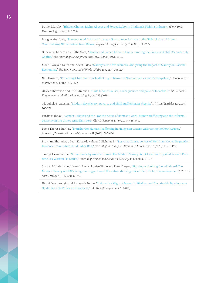Daniel Murphy, "[Hidden Chains: Rights Abuses and Forced Labor in Thailand's Fishing Industry,"](https://www.hrw.org/report/2018/01/23/hidden-chains/rights-abuses-and-forced-labor-thailands-fishing-industry) (New York: Human Rights Watch, 2018).

Douglas Guilfoyle, "[Transnational Criminal Law as a Governance Strategy in the Global Labour Marker:](https://doi.org/10.1093/rsq/hdq006)  [Criminalizing Globalisation from Below,"](https://doi.org/10.1093/rsq/hdq006) *Refugee Survey Quarterly* 29 (2011): 185-205.

Genevieve LeBaron and Ellie Gore, ["Gender and Forced Labour: Understanding the Links in Global Cocoa Supply](https://www.tandfonline.com/doi/full/10.1080/00220388.2019.1657570)  [Chains,"](https://www.tandfonline.com/doi/full/10.1080/00220388.2019.1657570) *The Journal of Development Studies* 56 (2020): 1095-1117.

Monti Narayan Datta and Kevin Bales, "[Slavery is Bad for Business: Analyzing the Impact of Slavery on National](https://hull-repository.worktribe.com/output/470513/slavery-is-bad-for-business-analyzing-the-impact-of-slavery-on-national-economies.)  [Economies,](https://hull-repository.worktribe.com/output/470513/slavery-is-bad-for-business-analyzing-the-impact-of-slavery-on-national-economies.)" *The Brown Journal of World Affairs* 19 (2013): 205-224.

Neil Howard, ["Protecting Children from Trafficking in Benin: In Need of Politics and Participation,"](https://researchportal.bath.ac.uk/en/publications/protecting-children-from-trafficking-in-benin-in-need-of-politics) *Development in Practice* 22 (2012): 460-472.

Olivier Thévenon and Eric Edmonds, "[Child labour: Causes, consequences and policies to tackle it,"](https://www.oecd-ilibrary.org/docserver/f6883e26-en.pdf?expires=1615484186&id=id&accname=guest&checksum=82C63DDCA3D7373CF4D9FFC2673766E0) *OECD Social, Employment and Migration Working Papers* 235 (2019).

Olubukola S. Adesina, "[Modern day slavery: poverty and child trafficking in Nigeria,](https://www.tandfonline.com/doi/abs/10.1080/14725843.2014.881278)" *African Identities* 12 (2014): 165-179.

Pardis Mahdavi, ["Gender, labour and the law: the nexus of domestic work, human trafficking and the informal](https://doi.org/10.1111/glob.12010)  [economy in the United Arab Emirates,](https://doi.org/10.1111/glob.12010)" *Global Networks* 13, 9 (2013): 425-440.

Pooja Theresa Stanlas, "[Transborder Human Trafficking in Malaysian Waters: Addressing the Root Causes,"](https://research-portal.najah.edu/migrant/1989/) *Journal of Maritime Law and Commerce* 41 (2010): 595-606.

Prashant Bharadwaj, Leah K. Lakdawala and Nicholas Li, "[Perverse Consequences of Well-Intentioned Regulation:](https://www.nber.org/papers/w19602)  [Evidence from India's Child Labor Ban,"](https://www.nber.org/papers/w19602) *Journal of the European Economic Association* 18 (2020): 1158-1195.

Sandya Hewamanne, "[Surveillance by Another Name: The Modern Slavery Act, Global Factory Workers and Part](https://www.journals.uchicago.edu/doi/full/10.1086/706471)[time Sex Work in Sri Lanka,"](https://www.journals.uchicago.edu/doi/full/10.1086/706471) *Journal of Women in Culture and Society* 45 (2020): 653-677.

Stuart N. Hodkinson, Hannah Lewis, Louise Waite and Peter Dwyer, ["Fighting or fuelling forced labour? The](https://journals.sagepub.com/doi/abs/10.1177/0261018320904311)  [Modern Slavery Act 2015, irregular migrants and the vulnerabilising role of the UK's hostile environment,](https://journals.sagepub.com/doi/abs/10.1177/0261018320904311)" *Critical Social Policy* 41, 1 (2020): 68-90.

Utami Dewi Anggia and Rezasyah Teuku, ["Indonesian Migrant Domestic Workers and Sustainable Development](https://www.e3s-conferences.org/articles/e3sconf/abs/2018/48/e3sconf_icenis18_09017/e3sconf_icenis18_09017.html)  [Goals: Feasible Policy and Practices,](https://www.e3s-conferences.org/articles/e3sconf/abs/2018/48/e3sconf_icenis18_09017/e3sconf_icenis18_09017.html)" *E3S Web of Conferences* 73 (2018).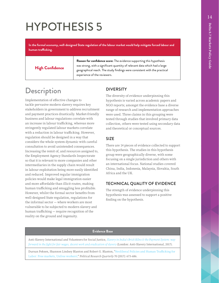<span id="page-18-0"></span>**In the formal economy, well-designed State regulation of the labour market would help mitigate forced labour and human trafficking.**

High Confidence

**Reason for confidence score:** The evidence supporting this hypothesis was strong, with a significant quantity of relevant data which had a large geographical reach. The study findings were consistent with the practical experience of the reviewers.

## Description

Implementation of effective changes to tackle pervasive modern slavery requires key stakeholders in government to address recruitment and payment practices drastically. Market-friendly business and labour regulations correlate with an increase in labour trafficking, whereas more stringently regulated labour markets correlate with a reduction in labour trafficking. However, regulation should be designed in a way that considers the whole system dynamic with careful consultation to avoid unintended consequences. Increasing the remit of, and resources assigned to, the Employment Agency Standards Inspectorate so that it is relevant to more companies and other intermediaries in the supply chain would result in labour exploitation being more easily identified and reduced. Improved regular immigration policies would make legal immigration easier and more affordable than illicit routes, making human trafficking and smuggling less profitable. However, whilst the formal sector benefits from well-designed State regulation, regulations for the informal sector — where workers are most vulnerable to be subjected to modern slavery and human trafficking — require recognition of the reality on the ground and ingenuity.

#### **DIVERSITY**

The diversity of evidence underpinning this hypothesis is varied across academic papers and NGO reports; amongst the evidence base a diverse range of research and implementation approaches were used. Three claims in this grouping were tested through studies that involved primary data collection, others were tested using secondary data and theoretical or conceptual sources.

#### SIZE

There are 14 pieces of evidence collected to support this hypothesis. The studies in this hypothesis group were geographically diverse, with some focusing on a single jurisdiction and others with an international focus. National studies covered China, India, Indonesia, Malaysia, Slovakia, South Africa and the UK.

#### TECHNICAL QUALITY OF EVIDENCE

The strength of evidence underpinning this hypothesis was assessed to support a positive finding on the hypothesis.

#### **Evidence Base**

Anti-Slavery International and Volunteers for Social Justice, *[Slavery in India's Brick Kilns & the Payment System: way](https://www.antislavery.org/wp-content/uploads/2017/09/Slavery-In-Indias-Brick-Kilns-The-Payment-System.pdf)  [forward in the fight for fair wages, decent work and eradication of slavery](https://www.antislavery.org/wp-content/uploads/2017/09/Slavery-In-Indias-Brick-Kilns-The-Payment-System.pdf)* (London: Anti-Slavery International, 2017).

Dursun Peksen, Shannon Lindsey Blanton and Robert G. Blanton, "[Neoliberal Policies and Human Trafficking for](https://journals.sagepub.com/doi/abs/10.1177/1065912917710339)  [Labor: Free markets, Unfree workers?,"](https://journals.sagepub.com/doi/abs/10.1177/1065912917710339) *Political Research Quarterly* 70 (2017): 673-686.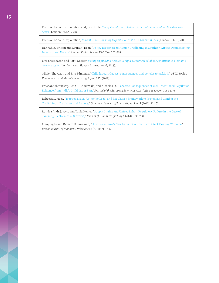Focus on Labour Exploitation and Josh Stride, *[Shaky Foundations: Labour Exploitation in London's Construction](https://www.labourexploitation.org/publications/shaky-foundations-labour-exploitation-londons-construction-sector)  [Sector](https://www.labourexploitation.org/publications/shaky-foundations-labour-exploitation-londons-construction-sector)* (London: FLEX, 2018).

Focus on Labour Exploitation, *[Risky Business: Tackling Exploitation in the UK Labour Market](https://www.labourexploitation.org/publications/risky-business-tackling-exploitation-uk-labour-market)* (London: FLEX, 2017).

Hannah E. Britton and Laura A. Dean, "[Policy Responses to Human Trafficking in Southern Africa: Domesticating](https://link.springer.com/article/10.1007/s12142-014-0303-9)  [International Norms,](https://link.springer.com/article/10.1007/s12142-014-0303-9)" *Human Rights Review* 15 (2014): 305-328.

Liva Sreedharan and Aarti Kapoor, *[Sitting on pins and needles: A rapid assessment of labour conditions in Vietnam's](https://www.antislavery.org/wp-content/uploads/2019/04/Pins-and-Needles-Vietnam-supply-chains-report.pdf)  [garment sector](https://www.antislavery.org/wp-content/uploads/2019/04/Pins-and-Needles-Vietnam-supply-chains-report.pdf)* (London: Anti-Slavery International, 2018).

Olivier Thévenon and Eric Edmonds, "[Child labour: Causes, consequences and policies to tackle it,"](https://www.oecd-ilibrary.org/docserver/f6883e26-en.pdf?expires=1615484186&id=id&accname=guest&checksum=82C63DDCA3D7373CF4D9FFC2673766E0) *OECD Social, Employment and Migration Working Papers* 235, (2019).

Prashant Bharadwaj, Leah K. Lakdawala, and Nicholas Li, ["Perverse Consequences of Well-Intentioned Regulation:](https://www.nber.org/papers/w19602)  [Evidence from India's Child Labor Ban,](https://www.nber.org/papers/w19602)" *Journal of the European Economic Association* 18 (2020): 1158-1195.

Rebecca Surtees, "[Trapped at Sea: Using the Legal and Regulatory Framework to Prevent and Combat the](https://nexushumantrafficking.files.wordpress.com/2017/01/surtees-2013-trapped-at-sea.pdf)  [Trafficking of Seafarers and Fishers,"](https://nexushumantrafficking.files.wordpress.com/2017/01/surtees-2013-trapped-at-sea.pdf) *Groningen Journal of International Law* 1 (2013): 91-151.

Rutvica Andrijasevic and Tonia Novitz, "[Supply Chains and Unfree Labor: Regulatory Failure in the Case of](https://www.tandfonline.com/doi/abs/10.1080/23322705.2020.1691817)  [Samsung Electronics in Slovakia,"](https://www.tandfonline.com/doi/abs/10.1080/23322705.2020.1691817) *Journal of Human Trafficking* 6 (2020): 195-208.

Xiaoying Li and Richard B. Freeman, ["How Does China's New Labour Contract Law Affect Floating Workers?"](https://onlinelibrary.wiley.com/doi/abs/10.1111/bjir.12056) *British Journal of Industrial Relations* 53 (2014): 711-735.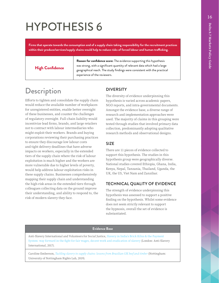<span id="page-20-0"></span>**Firms that operate towards the consumption end of a supply chain taking responsibility for the recruitment practices within their produce/services/supply chains would help to reduce risks of forced labour and human trafficking.**

#### High Confidence

**Reason for confidence score:** The evidence supporting this hypothesis was strong, with a significant quantity of relevant data which had a large geographical reach. The study findings were consistent with the practical experience of the reviewers.

### **Description**

Efforts to tighten and consolidate the supply chain would reduce the available number of workplaces for unregistered entities, enable better oversight of these businesses, and counter the challenges of regulatory oversight. Full-chain liability would incentivize lead firms, brands, and large retailers not to contract with labour intermediaries who might exploit their workers. Brands and buying corporations reviewing their purchasing practices to ensure they discourage low labour costs and tight delivery deadlines that have adverse impacts on workers, especially in the extended tiers of the supply chain where the risk of labour exploitation is much higher and the workers are more vulnerable due to higher levels of poverty, would help address labour exploitation risks in these supply chains. Businesses comprehensively mapping their supply chain and understanding the high-risk areas in the extended tiers through colleagues collecting data on the ground improve their understanding, and ability to respond to, the risk of modern slavery they face.

#### **DIVERSITY**

The diversity of evidence underpinning this hypothesis is varied across academic papers, NGO reports, and intra-governmental documents. Amongst the evidence base, a diverse range of research and implementation approaches were used. The majority of claims in this grouping were tested through studies that involved primary data collection, predominantly adopting qualitative research methods and observational designs.

#### SIZE

There are 11 pieces of evidence collected to support this hypothesis. The studies in this hypothesis group were geographically diverse. National studies covered Ethiopia, Ghana, India, Kenya, Nepal, Tanzania, Thailand, Uganda, the UK, the US, Viet Nam and Zanzibar.

#### TECHNICAL QUALITY OF EVIDENCE

The strength of evidence underpinning this hypothesis was assessed to support a positive finding on the hypothesis. Whilst some evidence does not seem strictly relevant to support the hypnosis, overall the set of evidence is substantiated.

#### **Evidence Base**

Anti-Slavery International and Volunteers for Social Justice, [Slavery in India's Brick Kilns & the Payment](https://www.antislavery.org/wp-content/uploads/2017/09/Slavery-In-Indias-Brick-Kilns-The-Payment-System.pdf)  [System: way forward in the fight for fair wages, decent work and eradication of slavery](https://www.antislavery.org/wp-content/uploads/2017/09/Slavery-In-Indias-Brick-Kilns-The-Payment-System.pdf) (London: Anti-Slavery International, 2017).

Caroline Emberson, *[Tackling slavery in supply chains: lessons from Brazilian-UK beef and timber](https://corporate-responsibility.org/wp-content/uploads/2019/03/emberson-tackling-slavery-in-supply-chains-2.pdf)* (Nottingham: University of Nottingham Rights Lab, 2019).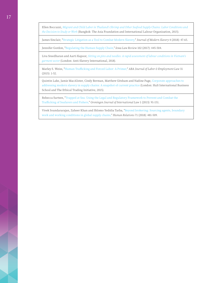Ellen Boccuzzi, *[Migrant and Child Labor in Thailand's Shrimp and Other Seafood Supply Chains: Labor Conditions and](https://asiafoundation.org/resources/pdfs/MigrantChildLaborinThailandsShrimpandOtherSeafoodSupplyChains.pdf)  [the Decision to Study or Work](https://asiafoundation.org/resources/pdfs/MigrantChildLaborinThailandsShrimpandOtherSeafoodSupplyChains.pdf)* (Bangkok: The Asia Foundation and International Labour Organization, 2015).

James Sinclair, "[Strategic Litigation as a Tool to Combat Modern Slavery,](https://slavefreetoday.org/journal_of_modern_slavery/v4i2a3_Strategic_Litigation_as_a_Tool_to_Combat_Modern_Slavery_sinclair.pdf)" *Journal of Modern Slavery* 4 (2018): 47-65.

Jennifer Gordon, ["Regulating the Human Supply Chain,"](https://papers.ssrn.com/sol3/papers.cfm?abstract_id=2914424) *Iowa Law Review* 102 (2017): 445-504.

Liva Sreedharan and Aarti Kapoor, *[Sitting on pins and needles: A rapid assessment of labour conditions in Vietnam's](https://www.antislavery.org/wp-content/uploads/2019/04/Pins-and-Needles-Vietnam-supply-chains-report.pdf)  [garment sector](https://www.antislavery.org/wp-content/uploads/2019/04/Pins-and-Needles-Vietnam-supply-chains-report.pdf)* (London: Anti-Slavery International, 2018).

Marley S. Weiss, "[Human Trafficking and Forced Labor: A Primer,"](https://www.jstor.org/stable/26410780?seq=1) *ABA Journal of Labor & Employment Law* 31 (2015): 1-52.

Quintin Lake, Jamie MacAlister, Cindy Berman, Matthew Gitsham and Nadine Page, [Corporate approaches to](https://docplayer.net/20767040-Corporate-approaches-to-addressing-modern-slavery-in-supply-chains.html)  [addressing modern slavery in supply chains: A snapshot of current practice](https://docplayer.net/20767040-Corporate-approaches-to-addressing-modern-slavery-in-supply-chains.html) (London: Hult International Business School and The Ethical Trading Initiative, 2015).

Rebecca Surtees, "[Trapped at Sea: Using the Legal and Regulatory Framework to Prevent and Combat the](https://nexushumantrafficking.files.wordpress.com/2017/01/surtees-2013-trapped-at-sea.pdf)  [Trafficking of Seafarers and Fishers,"](https://nexushumantrafficking.files.wordpress.com/2017/01/surtees-2013-trapped-at-sea.pdf) *Groningen Journal of International Law* 1 (2013): 91-151.

Vivek Soundararajan, Zaheer Khan and Shlomo Yedidia Tarba, "[Beyond brokering: Sourcing agents, boundary](https://journals.sagepub.com/doi/abs/10.1177/0018726716684200)  [work and working conditions in global supply chains,](https://journals.sagepub.com/doi/abs/10.1177/0018726716684200)" *Human Relations* 71 (2018): 481-509.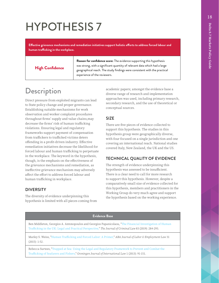<span id="page-22-0"></span>**Effective grievance mechanisms and remediation initiatives support holistic efforts to address forced labour and human trafficking in the workplace.**

High Confidence

**Reason for confidence score:** The evidence supporting this hypothesis was strong, with a significant quantity of relevant data which had a large geographical reach. The study findings were consistent with the practical experience of the reviewers.

## **Description**

Direct pressure from exploited migrants can lead to State policy change and proper governance. Establishing suitable mechanisms for work observation and worker complaint procedures throughout firms' supply and value chains,may decrease the firms' risk of human trafficking violations. Ensuring legal and regulatory frameworks support payment of compensation from traffickers to trafficked victims deters offending in a profit-driven industry. Effective remediation initiatives decrease the likelihood for forced labour and human trafficking to perpetuate in the workplace. The keyword in the hypothesis, though, is the emphasis on the effectiveness of the grievance mechanisms and remediation, as ineffective grievance mechanism may adversely affect the effort to address forced labour and human trafficking in workplace.

#### **DIVERSITY**

The diversity of evidence underpinning this hypothesis is limited with all pieces coming from academic papers; amongst the evidence base a diverse range of research and implementation approaches was used, including primary research, secondary research, and the use of theoretical or conceptual sources.

#### SIZE

There are five pieces of evidence collected to support this hypothesis. The studies in this hypothesis group were geographically diverse, with four focused on a single jurisdiction and one covering an international reach. National studies covered Italy, New Zealand, the UK and the US.

#### TECHNICAL QUALITY OF EVIDENCE

The strength of evidence underpinning this hypothesis was assessed to be insufficient. There is a clear need to call for more research to support this hypothesis. However, despite a comparatively small size of evidence collected for this hypothesis, members and practitioners in the Working Group do very much agree and support the hypothesis based on the working experience.

#### **Evidence Base**

Ben Middleton, Georgios A. Antonopoulos and Georgios Papanicolaou, "[The Financial Investigation of Human](https://journals.sagepub.com/doi/abs/10.1177/0022018319834364)  [Trafficking in the UK: Legal and Practical Perspective,"](https://journals.sagepub.com/doi/abs/10.1177/0022018319834364) *The Journal of Criminal Law* 83 (2019): 284-293.

Marley S. Weiss, "[Human Trafficking and Forced Labor: A Primer,](https://www.jstor.org/stable/26410780?seq=1)" *ABA Journal of Labor & Employment Law* 31 (2015): 1-52.

Rebecca Surtees, "[Trapped at Sea: Using the Legal and Regulatory Framework to Prevent and Combat the](https://nexushumantrafficking.files.wordpress.com/2017/01/surtees-2013-trapped-at-sea.pdf)  [Trafficking of Seafarers and Fishers,](https://nexushumantrafficking.files.wordpress.com/2017/01/surtees-2013-trapped-at-sea.pdf)" *Groningen Journal of International Law* 1 (2013): 91-151.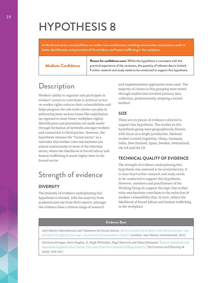<span id="page-23-0"></span>**In the formal sector, increased focus on worker voice mechanisms, including union/worker associations, result in better identification and prevention of forced labour and human trafficking in the workplace.**

|  | <b>Medium Confidence</b> |  |
|--|--------------------------|--|
|  |                          |  |

**Reason for confidence score:** Whilst the hypothesis is consistent with the practical experience of the reviewers, the quantity of relevant data is limited. Further research and study needs to be conducted to support this hypothesis.

### **Description**

Workers' ability to organize and participate in workers' unions to contribute to political action on worker rights reduces their vulnerabilities and helps progress the role trade unions can play in addressing more serious issues like exploitation (as opposed to more linear workplace rights). Identification and prevention are made easier through formation of networks amongst workers and connection to third parties. However, the hypothesis stresses the "formal sector" as a reminder that worker voice mechanisms are almost unattainable in most of the informal sector, where the likelihood of forced labour and human trafficking is much higher than in the formal sector.

## Strength of evidence

#### DIVERSITY

The diversity of evidence underpinning this hypothesis is limited, with the majority from academia and one from NGO reports; amongst the evidence base a diverse range of research

and implementation approaches were used. The majority of claims in this grouping were tested through studies that involved primary data collection, predominantly adopting a mixed method.

#### SIZE

There are six pieces of evidence collected to support this hypothesis. The studies in this hypothesis group were geographically diverse, with focus on a single jurisdiction. National studies covered Argentina, China, Germany, India, New Zealand, Spain, Sweden, Switzerland, the UK and the US.

#### TECHNICAL QUALITY OF EVIDENCE

The strength of evidence underpinning this hypothesis was assessed to be unsatisfactory. It is clear that further research and study needs to be conducted to support this hypothesis. However, members and practitioners of the Working Group do support the logic that worker voice mechanisms contribute to the reduction of workers vulnerability that, in turn, reduce the likelihood of forced labour and human trafficking in the workplace.

#### **Evidence Base**

Anti-Slavery International and Volunteers for Social Justice, *[Slavery in India's Brick Kilns & the Payment System: way](https://www.antislavery.org/wp-content/uploads/2017/09/Slavery-In-Indias-Brick-Kilns-The-Payment-System.pdf)  [forward in the fight for fair wages, decent work and eradication of slavery](https://www.antislavery.org/wp-content/uploads/2017/09/Slavery-In-Indias-Brick-Kilns-The-Payment-System.pdf)* (London: Anti-Slavery International, 2017).

Christina Stringer, Steve Hughes, D. Hugh Whittaker, Nigel Haworth and Glenn Simmons, "[Labour standards and](https://journals.sagepub.com/doi/abs/10.1177/0308518X16652397)  [regulation in global value chains: The case of the New Zealand Fishing Industry,"](https://journals.sagepub.com/doi/abs/10.1177/0308518X16652397) *Environment and Planning* 48 (2016): 1910-1927.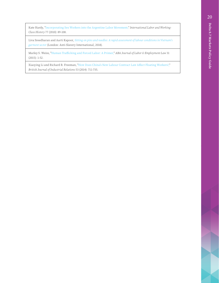Kate Hardy, ["Incorporating Sex Workers into the Argentine Labor Movement,"](https://www.google.com/search?q=Kate+Hardy%2C+%22Incorporating+Sex+Workers+into+the+Argentine+Labor+Movement%2C%22+International+Labor+and+Working-Class+History+77%3A+89-108+(2010).&oq=Kate+Hardy%2C+%22Incorporating+Sex+Workers+into+the+Argentine+Labor+Movement%2C%22+International+Labor+and+Working-Class+History+77%3A+89-108+(2010).&aqs=chrome..69i57.520j0j4&sourceid=chrome&ie=UTF-8) *International Labor and Working-Class History* 77 (2010): 89-108.

Liva Sreedharan and Aarti Kapoor, *[Sitting on pins and needles: A rapid assessment of labour conditions in Vietnam's](https://www.antislavery.org/wp-content/uploads/2019/04/Pins-and-Needles-Vietnam-supply-chains-report.pdf)  [garment sector](https://www.antislavery.org/wp-content/uploads/2019/04/Pins-and-Needles-Vietnam-supply-chains-report.pdf)* (London: Anti-Slavery International, 2018).

Marley S. Weiss, "[Human Trafficking and Forced Labor: A Primer,](https://www.jstor.org/stable/26410780?seq=1)" *ABA Journal of Labor & Employment Law* 31 (2015): 1-52.

Xiaoying Li and Richard B. Freeman, "[How Does China's New Labour Contract Law Affect Floating Workers?,"](https://doi.org/10.1111/bjir.12056) *British Journal of Industrial Relations* 53 (2014): 711-735.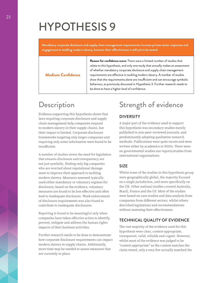<span id="page-25-0"></span>**Mandatory corporate disclosure and supply chain management requirements increase private sector responses and engagement to tackling modern slavery, however their effectiveness is still yet to be tested.**

Medium Confidence

**Reason for confidence score:** There were a limited number of studies that relate to this hypothesis, and only one study that actually makes an assessment of whether mandatory corporate disclosure and supply chain management requirements are effective in tackling modern slavery. A number of studies show that the requirements alone are insufficient and can encourage symbolic behaviour, as previously discussed in Hypothesis 3. Further research needs to be done to have a higher level of confidence.

## **Description**

Evidence supporting this hypothesis shows that laws requiring corporate disclosure and supply chain management help companies respond to modern slavery in their supply chains, but their impact is limited. Corporate disclosure frameworks targeting only larger companies and requiring only some information were found to be insufficient.

A number of studies stress the need for legislation that ensures disclosure and transparency are not just symbolic, finding only big companies who are worried about reputational damage seem to improve their approach to tackling modern slavery. Measures assessed typically used either mandatory or voluntary regimes for disclosure; based on the evidence, voluntary measures are found to be less effective and often lead to inadequate disclosure. Weak enforcement of disclosure requirements was also found to contribute to inadequate disclosures.

Reporting is found to be meaningful only when companies have taken effective action to identify, prevent, mitigate and address the human rights impacts of their business activities.

Further research needs to be done to demonstrate how corporate disclosure requirements can impact modern slavery in supply chains. Additionally, more time may be needed to assess measures that are currently in place.

## Strength of evidence

#### DIVERSITY

A major part of the evidence used to support this hypothesis was secondary studies mostly published in non-peer–reviewed journals, and predominantly adopting qualitative research methods. Publications were quite recent and were written either by academics or NGOs. There were no governmental studies nor reports/studies from international organizations.

#### SIZE

Whilst some of the studies in this hypothesis group were geographically global, the majority focused on a single jurisdiction, and more specifically on the UK. Other national studies covered Australia, Brazil, France and the US. Most of the studies were based on case studies and data analysis from companies from different sectors, whilst others described legislations and recommendations without assessing their effectiveness.

#### TECHNICAL QUALITY OF EVIDENCE

The vast majority of the evidence used for this hypothesis were clear, context-appropriate, transparent, valid, reliable and cogent. However, whilst most of the evidence was judged to be "context appropriate" as the content matches the claim tested, only a very few actually matched the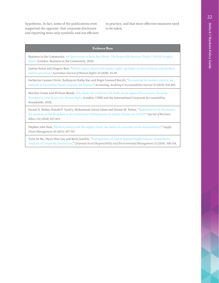hypothesis. In fact, some of the publications even supported the opposite: that corporate disclosure and reporting were only symbolic and not efficient in practice, and that more effective measures need to be taken.

#### **Evidence Base**

Business in the Community, *[An Opportunity to Build Back Better: The Responsible Business Tracker® 2019/20 Insights](https://www.bitc.org.uk/report/2019-20-responsible-business-tracker-insights-report/)  [Report](https://www.bitc.org.uk/report/2019-20-responsible-business-tracker-insights-report/)* (London: Business in the Community, 2020).

Justine Nolan and Gregory Bott, "[Global supply chains and human rights: spotlight on forced labour and modern](https://www.tandfonline.com/doi/abs/10.1080/1323238X.2018.1441610)  [slavery practices,](https://www.tandfonline.com/doi/abs/10.1080/1323238X.2018.1441610)" *Australian Journal of Human Rights* 24 (2018): 44-69.

Katherine Leanne Christ, Kathyayini Kathy Rao and Roger Leonard Burritt, ["Accounting for modern slavery: an](https://econpapers.repec.org/article/emeaaajpp/aaaj-11-2017-3242.htm)  [analysis of Australian listed company disclosures,"](https://econpapers.repec.org/article/emeaaajpp/aaaj-11-2017-3242.htm) *Accounting, Auditing & Accountability Journal* 32 (2019): 836-865.

Marilyn Croser and William Meade, *[Who Made Our Uniforms? UK Public Sector Apparel Procurement: Ensuring](https://www.readkong.com/page/who-made-our-uniforms-4067818)  [Transparency and Respect for Human Rights](https://www.readkong.com/page/who-made-our-uniforms-4067818)* (London: CORE and the International Corporate Accountability Roundtable, 2018).

Rachel N. Birkey, Ronald P. Guidry, Mohammad Azizul Islam and Dennis M. Patten, "[Mandated Social Disclosure:](https://ideas.repec.org/a/kap/jbuset/v152y2018i3d10.1007_s10551-016-3364-7.html)  [An Analysis of the Response to the Californian Transparency in Supply Chains Act of 2010,](https://ideas.repec.org/a/kap/jbuset/v152y2018i3d10.1007_s10551-016-3364-7.html)" *Journal of Business Ethics* 152 (2018): 827-844.

Stephen John New, ["Modern slavery and the supply chain: the limits of corporate social responsibility?](https://www.scienceopen.com/document?vid=a5f760ae-976b-42f1-8025-767b2a5398f5)," *Supply Chain Management* 20 (2015): 697-707.

Yoon Jin Ma, Hyun‐Hwa Lee and Kylie Goerlitz, "[Transparency of Global Apparel Supply Chains: Quantitative](https://onlinelibrary.wiley.com/doi/abs/10.1002/csr.1378)  [Analysis of Corporate Disclosures,](https://onlinelibrary.wiley.com/doi/abs/10.1002/csr.1378)" *Corporate Social Responsibility and Environmental Management* 23 (2016): 308-318.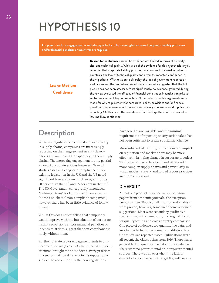<span id="page-27-0"></span>**For private sector's engagement in anti-slavery activity to be meaningful, increased corporate liability provisions and/or financial penalties or incentives are required.**

> **Reason for confidence score:** The evidence was limited in terms of diversity, size, and technical quality. Whilst size of the evidence for this hypothesis largely reflected that corporate liability provisions are confined to a small number of countries, the lack of technical quality and diversity impacted confidence in the hypothesis. With relation to diversity, the lack of government reports or evaluations and the limited evidence from civil society suggested that the full picture has not been assessed. Most significantly, no evidence gathered during the review evaluated the efficacy of financial penalties or incentives on private sector engagement beyond reporting. Nonetheless, credible arguments were made for why requirement for corporate liability provisions and/or financial penalties or incentives would motivate anti-slavery activity beyond supply chain reporting. On this basis, the confidence that this hypothesis is true is rated as low-medium confidence.

### **Description**

Low to Medium **Confidence** 

With new regulations to combat modern slavery in supply chains, companies are increasingly reporting on their engagement in anti-slavery efforts and increasing transparency in their supply chains. The increasing engagement is only partial amongst corporate entities however.<sup>1</sup> Several studies assessing corporate compliance under existing legislation in the UK and the US noted significant levels of non-compliance, as high as 50 per cent in the US<sup>2</sup> and 75 per cent in the UK<sup>3</sup>. The UK Government conceptually introduced "unlimited fines" for lack of compliance and to "name-and-shame" non-compliant companies<sup>4</sup>, however there has been little evidence of followthrough.

Whilst this does not establish that compliance would improve with the introduction of corporate liability provisions and/or financial penalties or incentives, it does suggest that non-compliance is likely without them.

Further, private sector engagement tends to only become effective (as a rule) when there is sufficient attention brought to the modern slavery practices in a sector that could harm a firm's reputation or sector. The accountability the new regulations

have brought are variable, and the minimal requirements of reporting on any action taken has not been sufficient to create substantial change.

More substantial liability, with concurrent impact on reputation and market share may be more effective in bringing change in corporate practices. This is particularly the case in industries with more complex supply chains and particularly in which modern slavery and forced labour practices are more ambiguous.

#### **DIVERSITY**

All but one piece of evidence were discussion papers from academic journals, the exception being from an NGO. Not all findings and analysis were proven; however, some made some adequate suggestions. Most were secondary qualitative studies using mixed methods, making it difficult for quality testing and cross-country comparison. One piece of evidence used quantitative data, and another collected some primary qualitative data. One study was repeated twice. Publications were all recent, the oldest being from 2016. There was a general lack of quantitative data in the evidence. There were no governmental or intergovernmental sources. There was an overwhelming lack of diversity for each aspect of Target 8.7, with nearly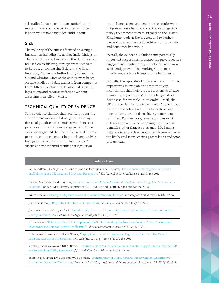all studies focusing on human trafficking and modern slavery. One paper focused on forced labour, whilst none included child labour.

#### SIZE

The majority of the studies focused on a single jurisdiction including Australia, India, Malaysia, Thailand, Slovakia, the UK and the US. One study focused on trafficking journeys from Viet Nam to Europe, encompassing Belgium, the Czech Republic, France, the Netherlands, Poland, the UK and Ukraine. Most of the studies were based on case studies and data analysis from companies from different sectors, whilst others described legislations and recommendations without assessing their effectiveness.

#### TECHNICAL QUALITY OF EVIDENCE

Some evidence claimed that voluntary reporting alone did not work but did not go as far to say financial penalties or incentives would increase private sector's anti-slavery engagement. Some evidence suggested that incentives would improve private sector engagement in anti-slavery activity, but again, did not support the hypothesis. A discussion paper found results that legislation

would increase engagement, but the results were not proven. Another piece of evidence suggests a policy recommendation to strengthen the United Kingdom's Modern Slavery Act, and two other pieces discussed the idea of ethical consumerism and consumer behaviour.

Overall, the evidence included some potentially important suggestions for improving private sector's engagement in anti-slavery activity, but none were sufficiently proven. The Working Group found insufficient evidence to support the hypothesis.

Globally, the legislative landscape presents limited opportunity to evaluate the efficacy of legal mechanisms that motivate corporations to engage in anti-slavery activity. Where such legislation does exist, for example, in Australia, Brazil, the UK and the US, it is relatively recent. As such, data on corporate actions resulting from these legal mechanisms, e.g., modern slavery statements, is limited. Furthermore, fewer examples exist of legislation with accompanying incentives or penalties, other than reputational risk. Brazil's lista suja is a notable exception, with companies on the list barred from receiving State loans and some private loans.

| Evidence Base                                                                                                                                                                                                                     |
|-----------------------------------------------------------------------------------------------------------------------------------------------------------------------------------------------------------------------------------|
| Ben Middleton, Georgios A. Antonopoulos and Georgios Papanicolaou, "The Financial Investigation of Human<br>Trafficking in the UK: Legal and Practical Perspective," The Journal of Criminal Law 83 (2019): 284-293.              |
| Debbie Beadle and Leah Davison, Precarious Journeys: Mapping Vulnerabilities of Victims of Trafficking from Vietnam<br>to Europe (London: Anti-Slavery International, ECPAT UK and Pacific Links Foundation, 2019).               |
| James Sinclair, "Strategic Litigation as a Tool to Combat Modern Slavery," Journal of Modern Slavery 4 (2018): 47-65.                                                                                                             |
| Jennifer Gordon, "Regulating the Human Supply Chain," Iowa Law Review 102 (2017): 445-504.                                                                                                                                        |
| Justine Nolan and Gregory Bott, "Global supply chains and human rights: spotlight on forced labour and modern<br>slavery practices," Australian Journal of Human Rights 24 (2018): 44-69.                                         |
| Nicole Fleury, "Offering a Carrot to Complement the Stick: Providing Positive Incentives in Public Procurement<br>Frameworks to Combat Human Trafficking," Public Contract Law Journal 48 (2019): 397-421.                        |
| Rutvica Andrijasevic and Tonia Novitz, "Supply Chains and Unfree Labor: Regulatory Failure in the Case of<br>Samsung Electronics in Slovakia," Journal of Human Trafficking 6 (2020): 195-208.                                    |
| Vivek Soundararajan and Jill A. Brown, "Voluntary Governance Mechanisms in Global Supply Chains: Beyond CSR<br>to a Stakeholder Utility Perspective," Journal of Business Ethics 134 (2016): 83-102.                              |
| Yoon Jin Ma, Hyun-Hwa Lee and Kylie Goerlitz, "Transparency of Global Apparel Supply Chains: Quantitative<br>Analysis of Corporate Disclosures," Corporate Social Responsibility and Environmental Management 23 (2016): 308-318. |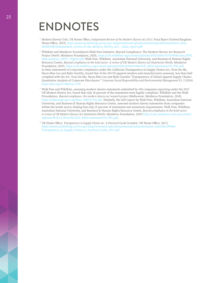## <span id="page-29-0"></span>ENDNOTES

- <sup>1</sup> Modern Slavery Unit, UK Home Office, *Independent Review of the Modern Slavery Act 2015: Final Report (United Kingdom:* Home Office, 2019), [https://assets.publishing.service.gov.uk/government/uploads/system/uploads/attachment\\_data/](https://assets.publishing.service.gov.uk/government/uploads/system/uploads/attachment_data/file/803406/Independent_review_of_the_Modern_Slavery_Act_-_final_report.pdf) [file/803406/Independent\\_review\\_of\\_the\\_Modern\\_Slavery\\_Act\\_-\\_final\\_report.pdf](https://assets.publishing.service.gov.uk/government/uploads/system/uploads/attachment_data/file/803406/Independent_review_of_the_Modern_Slavery_Act_-_final_report.pdf)
- <sup>2</sup> WikiRate and Minderoo Foundation's Walk Free Initiative, Beyond Compliance: The Modern Slavery Act Research Project (Perth: Minderoo Foundation, 2020), [https://cdn.walkfree.org/content/uploads/2020/10/06165743/Wikirates\\_WFF\\_](https://cdn.walkfree.org/content/uploads/2020/10/06165743/Wikirates_WFF_MSA-Analysis_180917_Digital.pdf) [MSA-Analysis\\_180917\\_Digital.pdf](https://cdn.walkfree.org/content/uploads/2020/10/06165743/Wikirates_WFF_MSA-Analysis_180917_Digital.pdf); Walk Free, WikiRate, Australian National University, and Business & Human Rights Resource Centre, *Beyond compliance in the hotel sector: A review of UK Modern Slavery Act Statements* (Perth: Minderoo Foundation, 2019), [https://cdn.walkfree.org/content/uploads/2020/10/06163448/2632\\_MSA-statements.V8\\_FNL.pdf.](https://cdn.walkfree.org/content/uploads/2020/10/06163448/2632_MSA-statements.V8_FNL.pdf) In their assessment of corporate compliance under the California Transparency in Supply Chains Act, Yoon Jin Ma, Hyun-Hwa Lee and Kylie Goerlitz, found that of the 204 US apparel retailers and manufacturers assessed, less than half complied with the Act. Yoon Jin Ma, Hyun-Hwa Lee and Kylie Goerlitz "Transparency of Global Apparel Supply Chains: Quanitative Analysis of Corporate Discolsures " *Corporate Social Responsibility and Environmental Management* 23, 5 (2016) <https://doi.org/10.1002/csr.1378>
- <sup>3</sup> Walk Free and WikiRate, assessing modern slavery statements submitted by 418 companies reporting under the 2015 UK Modern Slavery Act, found that only 26 percent of the statements were legally compliant. WikiRate and the Walk Froundation, *Beyond compliance: the modern slavery act research project* (Melbourne: Minderoo Foundation, 2018). <https://wikirateproject.org/files/~6989/15756.pdf>. Similarly, the 2019 report by Walk Free, WikiRate, Australian National University, and Business & Human Rights Resource Centre, assessed modern slavery statements from companies within the hotels sector, finding that only 25 percent of statements met minimum requirements. Walk Free, WikiRate, Australian National University, and Business & Human Rights Resource Centre, *Beyond compliance in the hotel sector: A review of UK Modern Slavery Act Statements* (Perth: Minderoo Foundation, 2019) [https://cdn.minderoo.com.au/content/](https://cdn.minderoo.com.au/content/uploads/2019/11/20161202/2632_MSA-statements.V8_FNL.pdf) [uploads/2019/11/20161202/2632\\_MSA-statements.V8\\_FNL.pdf](https://cdn.minderoo.com.au/content/uploads/2019/11/20161202/2632_MSA-statements.V8_FNL.pdf).
- <sup>4</sup> UK Home Office. *Transparency in Supply Chains etc. A Practical Guide* (London: UK Home Office, 2017), [https://assets.publishing.service.gov.uk/government/uploads/system/uploads/attachment\\_data/file/649906/](https://assets.publishing.service.gov.uk/government/uploads/system/uploads/attachment_data/file/649906/Transparency_in_Supply_Chains_A_Practical_Guide_2017.pdf) [Transparency\\_in\\_Supply\\_Chains\\_A\\_Practical\\_Guide\\_2017.pdf](https://assets.publishing.service.gov.uk/government/uploads/system/uploads/attachment_data/file/649906/Transparency_in_Supply_Chains_A_Practical_Guide_2017.pdf)